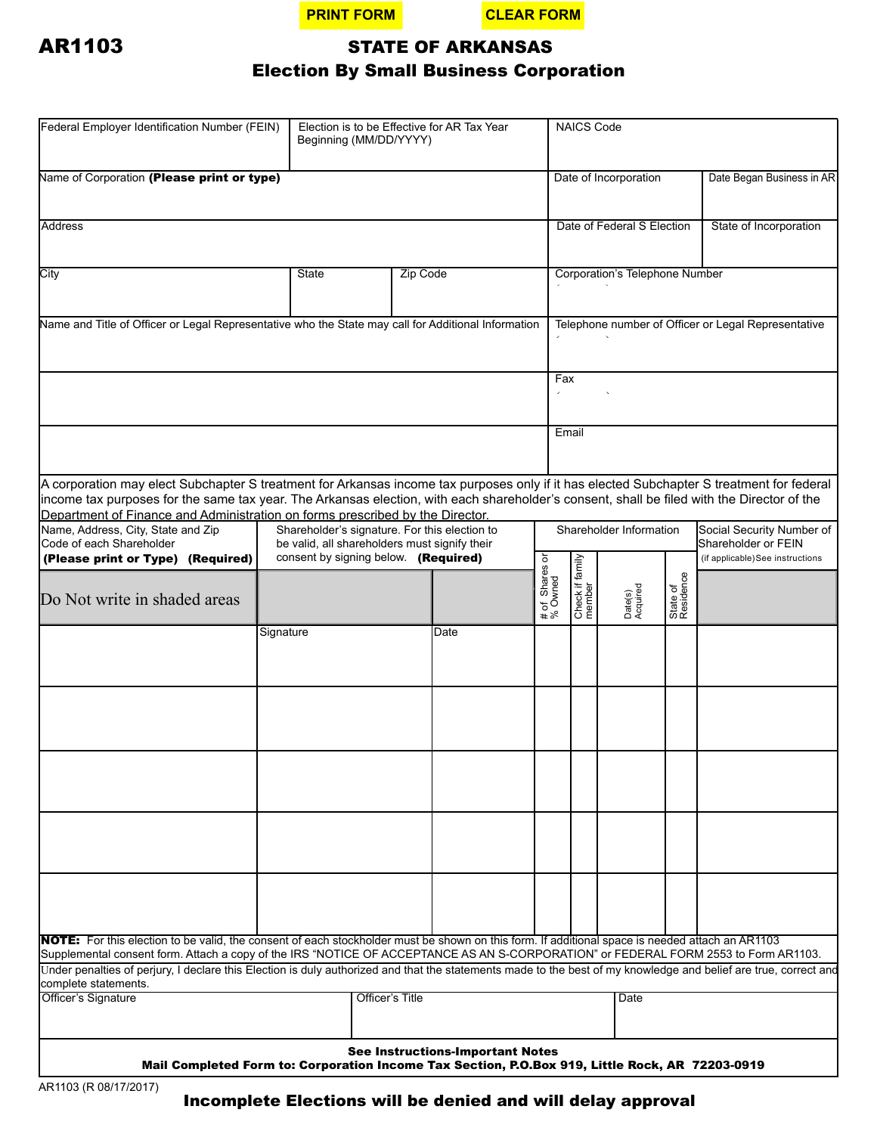



# AR1103 STATE OF ARKANSAS

## Election By Small Business Corporation

| Federal Employer Identification Number (FEIN)                                                                                                                                                                                                                                                                                                                                                                                                                                                                                                | Election is to be Effective for AR Tax Year<br>Beginning (MM/DD/YYYY) |                 |      |                           | <b>NAICS Code</b>                                                           |                     |                       |                                                     |  |
|----------------------------------------------------------------------------------------------------------------------------------------------------------------------------------------------------------------------------------------------------------------------------------------------------------------------------------------------------------------------------------------------------------------------------------------------------------------------------------------------------------------------------------------------|-----------------------------------------------------------------------|-----------------|------|---------------------------|-----------------------------------------------------------------------------|---------------------|-----------------------|-----------------------------------------------------|--|
| Name of Corporation (Please print or type)                                                                                                                                                                                                                                                                                                                                                                                                                                                                                                   |                                                                       |                 |      |                           | Date of Incorporation                                                       |                     |                       | Date Began Business in AR                           |  |
| Address                                                                                                                                                                                                                                                                                                                                                                                                                                                                                                                                      |                                                                       |                 |      |                           | Date of Federal S Election                                                  |                     |                       | State of Incorporation                              |  |
| City                                                                                                                                                                                                                                                                                                                                                                                                                                                                                                                                         | State<br>Zip Code                                                     |                 |      |                           | <b>Corporation's Telephone Number</b>                                       |                     |                       |                                                     |  |
| Name and Title of Officer or Legal Representative who the State may call for Additional Information                                                                                                                                                                                                                                                                                                                                                                                                                                          |                                                                       |                 |      |                           |                                                                             |                     |                       | Telephone number of Officer or Legal Representative |  |
|                                                                                                                                                                                                                                                                                                                                                                                                                                                                                                                                              |                                                                       |                 |      |                           | Fax                                                                         |                     |                       |                                                     |  |
|                                                                                                                                                                                                                                                                                                                                                                                                                                                                                                                                              |                                                                       |                 |      |                           | Email                                                                       |                     |                       |                                                     |  |
| A corporation may elect Subchapter S treatment for Arkansas income tax purposes only if it has elected Subchapter S treatment for federal<br>income tax purposes for the same tax year. The Arkansas election, with each shareholder's consent, shall be filed with the Director of the<br>Department of Finance and Administration on forms prescribed by the Director.<br>Name, Address, City, State and Zip<br>Shareholder's signature. For this election to<br>Code of each Shareholder<br>be valid, all shareholders must signify their |                                                                       |                 |      |                           | Shareholder Information<br>Social Security Number of<br>Shareholder or FEIN |                     |                       |                                                     |  |
| (Please print or Type) (Required)<br>Do Not write in shaded areas                                                                                                                                                                                                                                                                                                                                                                                                                                                                            | consent by signing below. (Required)                                  |                 |      | # of Shares or<br>% Owned | Check if family                                                             | Date(s)<br>Acquired | State of<br>Residence | (if applicable)See instructions                     |  |
|                                                                                                                                                                                                                                                                                                                                                                                                                                                                                                                                              | Signature                                                             |                 | Date |                           |                                                                             |                     |                       |                                                     |  |
|                                                                                                                                                                                                                                                                                                                                                                                                                                                                                                                                              |                                                                       |                 |      |                           |                                                                             |                     |                       |                                                     |  |
|                                                                                                                                                                                                                                                                                                                                                                                                                                                                                                                                              |                                                                       |                 |      |                           |                                                                             |                     |                       |                                                     |  |
|                                                                                                                                                                                                                                                                                                                                                                                                                                                                                                                                              |                                                                       |                 |      |                           |                                                                             |                     |                       |                                                     |  |
| <b>NOTE:</b> For this election to be valid, the consent of each stockholder must be shown on this form. If additional space is needed attach an AR1103                                                                                                                                                                                                                                                                                                                                                                                       |                                                                       |                 |      |                           |                                                                             |                     |                       |                                                     |  |
| Supplemental consent form. Attach a copy of the IRS "NOTICE OF ACCEPTANCE AS AN S-CORPORATION" or FEDERAL FORM 2553 to Form AR1103.<br>Under penalties of perjury, I declare this Election is duly authorized and that the statements made to the best of my knowledge and belief are true, correct and                                                                                                                                                                                                                                      |                                                                       |                 |      |                           |                                                                             |                     |                       |                                                     |  |
| complete statements.<br>Officer's Signature                                                                                                                                                                                                                                                                                                                                                                                                                                                                                                  |                                                                       | Officer's Title |      |                           | Date                                                                        |                     |                       |                                                     |  |
| <b>See Instructions-Important Notes</b><br>Mail Completed Form to: Corporation Income Tax Section, P.O.Box 919, Little Rock, AR 72203-0919                                                                                                                                                                                                                                                                                                                                                                                                   |                                                                       |                 |      |                           |                                                                             |                     |                       |                                                     |  |

Incomplete Elections will be denied and will delay approval